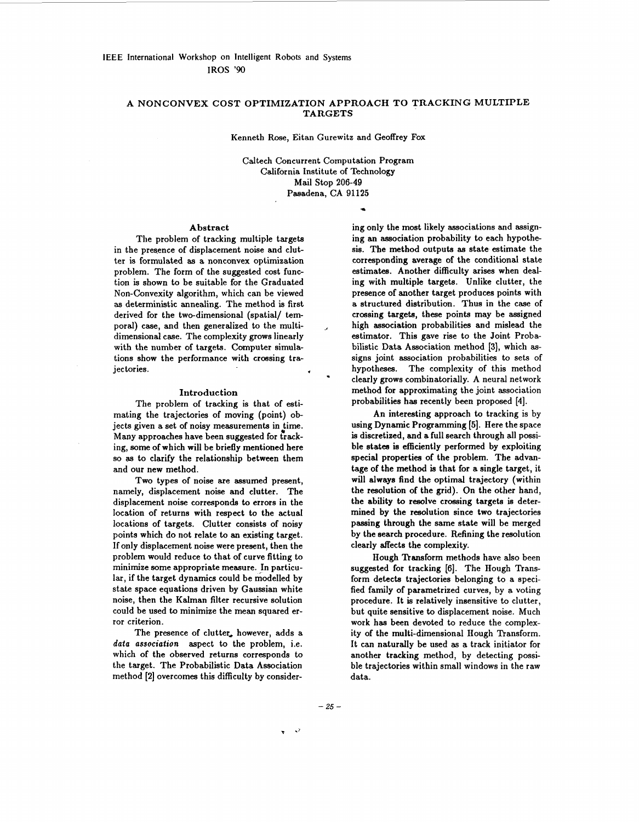# <span id="page-0-0"></span>A NONCONVEX COST OPTIMIZATION APPROACH TO TRACKING MULTIPLE **TARGETS**

Kenneth Rose, Eitan Gurewitz and Geoffrey Fox

Caltech Concurrent Computation Program California Institute of Technology Mail Stop **206-49**  Pasadena, CA **91125** 

*I* 

## Abstract

The problem of tracking multiple targets in the presence of displacement noise and clutter is formulated **as** a nonconvex optimization problem. The form of the suggested cost function is shown to be suitable for the Graduated Non-Convexity algorithm, which can be viewed **as** deterministic annealing. The method is first derived for the two-dimensional (spatial/ temporal) case, and then generalized to the multidimensional case. The complexity grows linearly with the number of targets. Computer simulations show the performance with crossing tra $jetories.$ 

## Introduction

The problem of tracking is that of estimating the trajectories of moving (point) objects given a set of noisy measurements in time. Many approaches have been suggested for tracking, some of which will be briefly mentioned here so **as** to clarify the relationship between them and our new method.

Two types of noise are assumed present, namely, displacement noise and clutter. The displacement noise corresponds to errors in the location of returns with respect to the actual locations of targets. Clutter consists of noisy points which do not relate to an existing target. If only displacement noise were present, then the problem would reduce to that of curve fitting to minimize some appropriate measure. In particular, if the target dynamics could be modelled by state space equations driven by Gaussian white noise, then the Kalman filter recursive solution could be used to minimize the mean squared error criterion.

The presence of clutter, however, adds a *data* association aspect to the problem, i.e. which of the observed returns corresponds to the target. The Probabilistic Data Association method **[2]** overcomes this difficulty by considering only the most likely associations and assigning an association probability to each hypothesis. The method outputs **as** state estimate the corresponding average of the conditional state estimates. Another difficulty arises when dealing with multiple targets. Unlike clutter, the presence of another target produces points with a structured distribution. Thus in the case of crossing targets, these points may be assigned high association probabilities and mislead the estimator. This gave rise to the Joint Probabilistic Data Association method **[3],** which **as**signs joint association probabilities to sets of hypotheses. The complexity of this method clearly grows combinatorially. A neural network method for approximating the joint association probabilities has recently been proposed **[4].** 

An interesting approach to tracking is by using Dynamic Programming *[5].* Here the space is discretized, and a full search through all possible statea is efficiently performed by exploiting special properties **of** the problem. The advantage *of* the method is that for a single target, it will always find the optimal trajectory (within the resolution *of* the grid). On the other hand, the ability to resolve crossing targets is determined by the resolution since two trajectories passing through the same state will be merged by the search procedure. Refining the resolution clearly affects the complexity.

Hough Transform methods have also been suggested for tracking **[SI.** The Hough Transform detects trajectories belonging to a specified family of parametrized curves, by a voting procedure. It is relatively insensitive to clutter, but quite sensitive to displacement noise. Much work has been devoted to reduce the complexity of the multi-dimensional Hough Transform. It can naturally be used **as** a track initiator for another tracking method, by detecting possible trajectories within small windows in the raw data.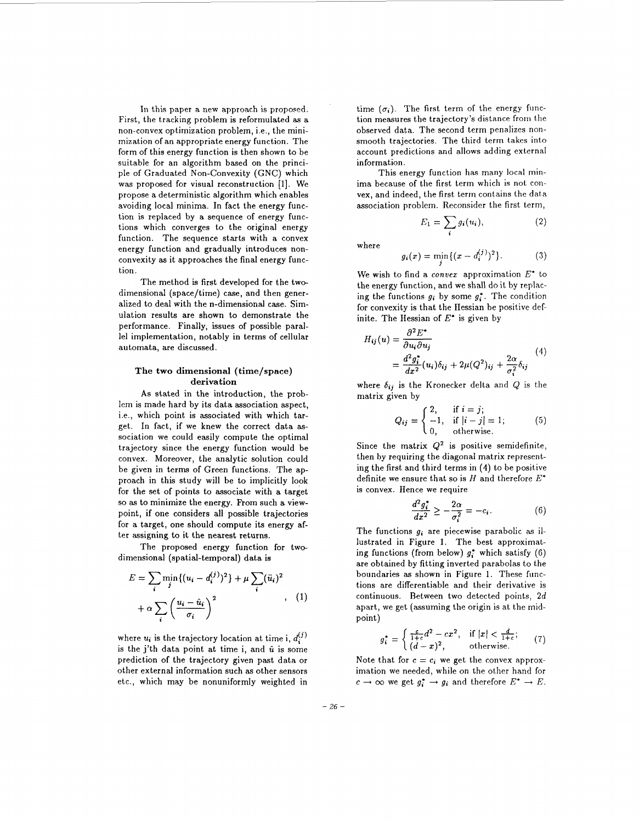In this paper a new approach is proposed. First, the tracking problem is reformulated as a non-convex optimization problem, i.e., the minimization of an appropriate energy function. The form of this energy function is then shown to be suitable for an algorithm based on the principle of Graduated Non-Convexity (GNC) which was proposed for visual reconstruction [l]. We propose a deterministic algorithm which enables avoiding local minima. In fact the energy function is replaced by a sequence of energy functions which converges to the original energy function. The sequence starts with a convex energy function and gradually introduces nonconvexity as it approaches the final energy function.

The method is first developed for the twodimensional (space/time) case, and then generalized to deal with the n-dimensional case. Simulation results are shown to demonstrate the performance. Finally, issues of possible parallel implementation, notably in terms of cellular automata, are discussed.

# **The two dimensional (time/space) derivation**

**As** stated in the introduction, the problem is made hard by its data association aspect, i.e., which point is associated with which target. In fact, if we knew the correct data **as**sociation we could easily compute the optimal trajectory since the energy function would be convex. Moreover, the analytic solution could be given in terms of Green functions. The approach in this study will be to implicitly look for the set of points to associate with a target so as to minimize the energy. From such a viewpoint, if one considers all possible trajectories for a target, one should compute its energy after assigning to it the nearest returns.

The proposed energy function for twodimensional (spatial-temporal) data **is** 

$$
E = \sum_{i} \min_{j} \{ (u_i - d_i^{(j)})^2 \} + \mu \sum_{i} (\ddot{u}_i)^2
$$

$$
+ \alpha \sum_{i} \left( \frac{u_i - \hat{u}_i}{\sigma_i} \right)^2, \quad (1)
$$

where  $u_i$  is the trajectory location at time i,  $d_i^{(j)}$ is the j'th data point at time i, and  $\hat{u}$  is some prediction of the trajectory given past data or other external information such **as** other sensors etc., which may be nonuniformly weighted in

time  $(\sigma_i)$ . The first term of the energy function measures the trajectory's distance from the observed data. The second term penalizes nonsmooth trajectories. The third term takes into account predictions and allows adding external information.

This energy function has many local minima because of the first term which is not convex, and indeed, the first term contains the data association problem. Reconsider the first term,

$$
E_1 = \sum_i g_i(u_i), \qquad (2)
$$

where

$$
g_i(x) = \min_j \{ (x - d_i^{(j)})^2 \}.
$$
 (3)

We wish to find a *convez* approximation *E'* to the energy function, and we shall do it by replacing the functions  $g_i$  by some  $g_i^*$ . The condition for convexity is that the Hessian be positive definite. The Hessian of *E\** is given by *dia*  $\frac{d}{dt}$  *dia*  $\frac{d}{dt}$  *dia*  $\frac{d}{dt}$  *dia*  $\frac{d}{dt}$  *dia*  $\frac{d}{dt}$  *dia*  $\frac{d}{dt}$  *dia*  $\frac{d}{dt}$  *<i>dia dia*  $\frac{d^2 E^*}{du_i \partial u_j}$  $\frac{d^2 a_i^*}{du_i \partial u_j}$  $\frac{d^2 a_i^*}{du_i \partial u_j}$ 

$$
I_{ij}(u) = \frac{\partial^2 E^*}{\partial u_i \partial u_j}
$$
  
= 
$$
\frac{d^2 g_i^*}{dx^2} (u_i) \delta_{ij} + 2\mu (Q^2)_{ij} + \frac{2\alpha}{\sigma_i^2} \delta_{ij}
$$
 (4)

where  $\delta_{ij}$  is the Kronecker delta and  $Q$  is the matrix given by

$$
Q_{ij} = \begin{cases} 2, & \text{if } i = j; \\ -1, & \text{if } |i - j| = 1; \\ 0, & \text{otherwise.} \end{cases}
$$
 (5)

Since the matrix  $Q^2$  is positive semidefinite, then by requiring the diagonal matrix representing the first and third terms in **(4)** to be positive definite we ensure that so is *H* and therefore *E'*  is convex. Hence we require

$$
\frac{d^2g_i^*}{dx^2} \ge -\frac{2\alpha}{\sigma_i^2} = -c_i.
$$
 (6)

The functions *gi* are piecewise parabolic **as** illustrated in Figure l. The best approximating functions (from below)  $g_i^*$  which satisfy (6) are obtained by fitting inverted parabolas to the boundaries as shown in Figure 1. These functions are differentiable and their derivative is continuous. Between two detected points, *2d*  continuous. Between two detected points, 2d<br>
apart, we get (assuming the origin is at the mid-<br>
point)<br>  $g_i^* = \begin{cases} \frac{c}{1+c}d^2 - cx^2, & \text{if } |x| < \frac{d}{1+c} ; \\ 0, & \text{otherwise} \end{cases}$  (7) point)

$$
g_i^* = \begin{cases} \frac{\epsilon}{1+\epsilon}d^2 - cx^2, & \text{if } |x| < \frac{d}{1+\epsilon};\\ (d-x)^2, & \text{otherwise.} \end{cases} (7)
$$

Note that for  $c = c_i$  we get the convex approximation we needed, while on the other hand for  $c \to \infty$  we get  $g_i^* \to g_i$  and therefore  $E^* \to E$ .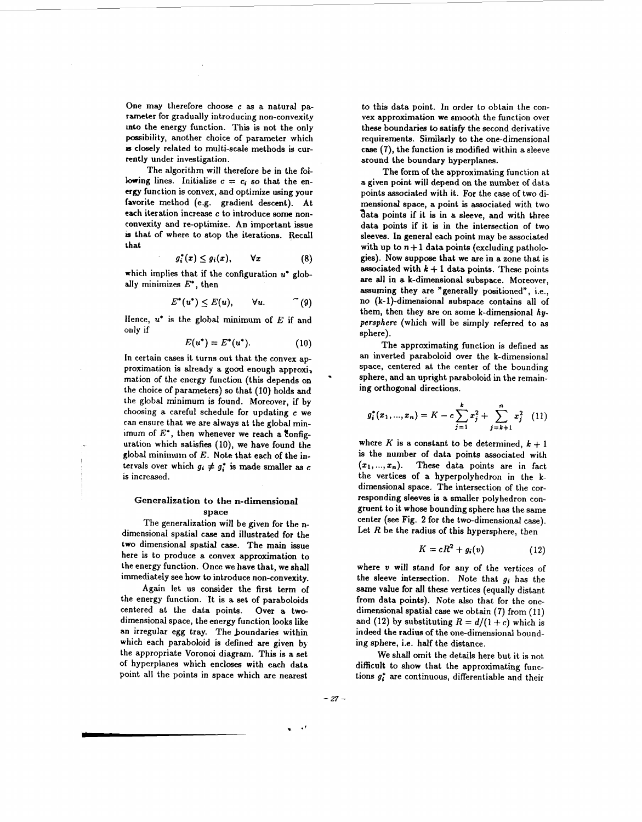One may therefore choose *c* **as** a natural parameter for gradually introducing non-convexity lnto the energy function. This is not the only possibility, another choice of parameter which **IS** cloeely related to multi-scale methods is cur**rently** under investigation.

The algorithm will therefore be in the following lines. Initialize  $c = c_i$  so that the en*ergy* function is convex, and optimize using your favorite method (e.g. gradient descent). At each iteration increase *c* to introduce **some** nonconvexity and re-optimize. An important issue is that of where to stop the iterations. Recall that

$$
g_i^*(x) \le g_i(x), \qquad \forall x \qquad (8)
$$

which implies that if the configuration  $u^*$  globally minimizes  $E^*$ , then

$$
E^*(u^*) \leq E(u), \qquad \forall u. \qquad \tilde{}
$$

Hence,  $u^*$  is the global minimum of  $E$  if and only if

$$
E(u^*) = E^*(u^*). \tag{10}
$$

In certain cases it turns out that the convex approximation is already a good enough approximation of the energy function (this depends on the choice of parameters) so that (10) holds and the global minimum is found. Moreover, if by choosing a careful schedule for updating *c* we can ensure that we are always at the global minimum of  $E^*$ , then whenever we reach a configuration which satisfies (10), we have found the global minimum of  $E$ . Note that each of the intervals over which  $g_i \neq g_i^*$  is made smaller as  $c$ is increased.

# Generalization to the n-dimensional space

The generalization will be given for the ndimensional spatial case and illustrated for the two dimensional spatial case. The main issue here is to produce a convex approximation to the energy function. Once we have that, we shall immediately see how to introduce non-convexity.

Again let us consider the first term of the energy function. It is a set **of** paraboloids centered at the data points. Over a twodimensional space, the energy function looks like an irregular egg tray. The boundaries within which each paraboloid is defined are given bj the appropriate Voronoi diagram, This is a set of hyperplanes which encloses with each data point all the points in space which are nearest

to this data point. In order to obtain the convex approximation we smodh the function over these boundaries to satisfy the second derivative requirements. Similarly to the one-dimensional *case* **(7),** the function is modified within a sleeve around the boundary hyperplanes.

The form of the approximating function at a given point will depend on the number of data points associated with it. For the case of two dimensional space, a point is associated with two data points if it is in a sleeve, and with three data points if it is in the intersection of two sleeves. In general each point may be associated with up to  $n+1$  data points (excluding pathologies). Now suppose that we are in a zone that is associated with  $k + 1$  data points. These points are all in a k-dimensional subspace. Moreover, assuming they are "generally positioned", i.e., no (k-1)-dimensional subspace contains all of them, then they are on some k-dimensional **hy**persphere (which will be simply referred to **as**  sphere).

The approximating function is defined **as**  an inverted paraboloid over the k-dimensional space, centered at the center of the bounding sphere, and an upright paraboloid in the remaining orthogonal directions.

$$
g_i^*(x_1,...,x_n) = K - c \sum_{j=1}^k x_j^2 + \sum_{j=k+1}^n x_j^2 \quad (11)
$$

where K is a constant to be determined,  $k + 1$ **is** the number of data points associated with  $(x_1, ..., x_n)$ . These data points are in fact the vertices of a hyperpolyhedron in the kdimensional space. The intersection of the corresponding sleeves is a smaller polyhedron congruent to it whose bounding sphere has the same center (see [Fig.](#page-5-0) **2** for the two-dimensional case). Let *R* be the radius of this hypersphere, then

$$
K = cR^2 + g_i(v) \tag{12}
$$

where *v* will stand for any of the vertices of the sleeve intersection. Note that *gi* has the same value for all these vertices (equally distant from data points). Note also that for the onedimensional spatial case we obtain **(7)** from (11) and (12) by substituting  $R = d/(1 + c)$  which is indeed the radius of the one-dimensional bounding sphere, i.e. half the distance.

We shall omit the details here but it is not difficult to show that the approximating functions  $g_i^*$  are continuous, differentiable and their

 $\cdot$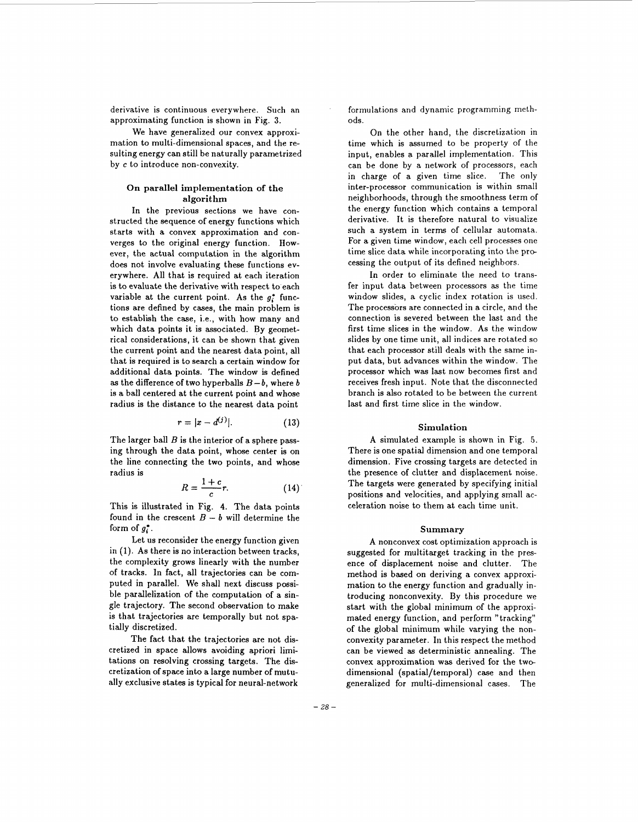<span id="page-3-0"></span>derivative is continuous everywhere. Such an approximating function is shown in [Fig.](#page-5-0) **3.** 

We have generalized our convex approximation to multi-dimensional spaces, and the resulting energy can still be naturally parametrized by *c* to introduce non-convexity.

# On parallel implementation of the algorithm

In the previous sections we have constructed the sequence of energy functions which starts with a convex approximation and converges to the original energy function. However, the actual computation in the algorithm does not involve evaluating these functions everywhere. All that is required at each iteration is to evaluate the derivative with respect to each variable at the current point. As the  $g^*$  functions are defined by cases, the main problem is to establish the case, i.e., with how many and which data points it is associated. By geometrical considerations, it can be shown that given the current point and the nearest data point, all that is required is to search a certain window for additional data points. The window is defined as the difference of two hyperballs  $B - b$ , where *b* is a ball centered at the current point and whose radius is the distance to the nearest data point

$$
r = |x - d^{(j)}|.
$$
 (13)

The larger ball *B* is the interior **of** a sphere passing through the data point, whose center is on the line connecting the two points, and whose radius is

$$
R = \frac{1+c}{c}r.\tag{14}
$$

This is illustrated in Fig. **4.** The data points found in the crescent  $B - b$  will determine the form of  $g_i^*$ .

Let us reconsider the energy function given in (1). As there is no interaction between tracks, the complexity grows linearly with the number of tracks. In fact, all trajectories can be computed in parallel. We shall next discuss possible parallelization of the computation of a single trajectory. The second observation to make is that trajectories are temporally but not spatially discretized.

The fact that the trajectories are not discretized in space allows avoiding apriori limitations on resolving crossing targets. The discretization of space into a large number of mutually exclusive states is typical for neural-network

formulations and dynamic programming methods.

On the other hand, the discretization in time which is assumed to be property of the input, enables a parallel implementation. This can be done by a network of processors, each in charge of a given time slice. The only inter-processor communication is within small neighborhoods, through the smoothness term of the energy function which contains a temporal derivative. It is therefore natural to visualize such a system in terms of cellular automata. For a given time window, each cell processes one time slice data while incorporating into the processing the output of its defined neighbors.

In order to eliminate the need to transfer input data between processors **as** the time window slides, a cyclic index rotation is used. The processors are connected in a circle, and the connection is severed between the last and the first time slices in the window. **As** the window slides by one time unit, all indices are rotated so that each processor still deals with the same input data, but advances within the window. The processor which was last now becomes first and receives fresh input. Note that the disconnected branch is also rotated to be between the current last and first time slice in the window.

## Simulation

**A** simulated example is shown in Fig. 5. There is one spatial dimension and one temporal dimension. Five crossing targets are detected in the presence of clutter and displacement noise. The targets were generated by specifying initial positions and velocities, and applying small acceleration noise to them at each time unit.

## Summary

**A** nonconvex cost optimization approach is suggested for multitarget tracking in the presence of displacement noise and clutter. The method is based on deriving a convex approximation to the energy function and gradually introducing nonconvexity. By this procedure we start with the global minimum of the approximated energy function, and perform "tracking" of the global minimum while varying the nonconvexity parameter. In this respect the method can be viewed **as** deterministic annealing. The convex approximation was derived for the twodimensional (spatial/temporal) case and then generalized for multi-dimensional cases. The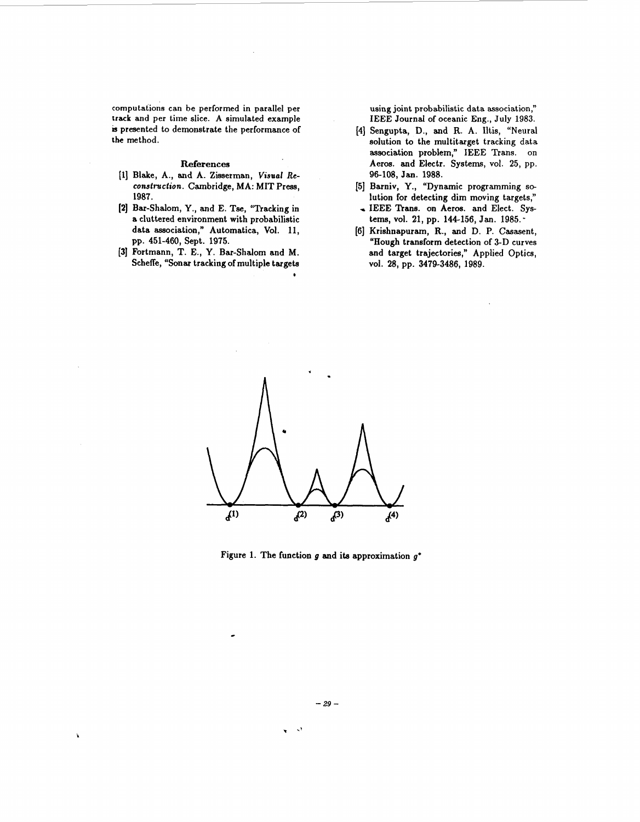computations can be performed in parallel per **track** and per time slice. A simulated example **is** presented to demonstrate the performance of the method.

## **References**

- **[I]** Blake, A., **and** A. Zisserman, Visual *Reconsiruciion.* Cambridge, MA: **MIT** Press, **1987.**
- **[2]** Bar-Shalom, Y., and E. **Tse,** "Tracking in a cluttered environment with probabilistic data association," Automatica, Vol. **11,**  pp. **451-460,** Sept. **1975.**
- **(31** Fortmann, T. E., Y. Bar-Shalom and M. Scheffe, "Sonar tracking of multiple targets

**k** 

**using** joint probabilistic data association," IEEE Journal of oceanic **Eng.,** July **1983.** 

- **[4]** Sengupta, D., and R. A. Iltis, "Neural solution to the multitarget tracking data association problem," IEEE **Trans.** on Aeros. and Electr. Systems, vol. [25,](#page-0-0) pp. **96-108,** Jan. **1988.**
- **[5]** Barniv, Y., "Dynamic programming **so**lution for detecting dim moving targets,"  $\triangle$  IEEE Trans. on Aeros. and Elect. Systems, vol. **21,** pp. **144156,** Jan. **1985.** -
- **[6]** Krishnapuram, **R.,** and **D.** P. Casasent, "Hough transform detection of 3-D curves and target trajectories," Applied Optics, **[vol.](#page-3-0) 28,** pp. **3479-3486, 1989.**



\*

Figure **1.** The function **g and** its approximation **g\*** 

.?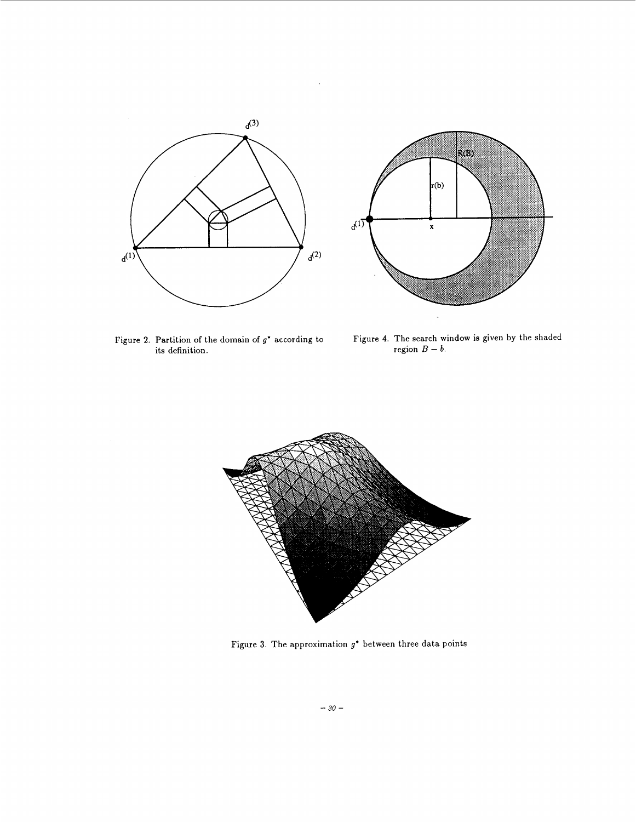<span id="page-5-0"></span>



Figure 2. Partition of the domain of  $g^*$  according to its definition.

Figure 4. The search window is given by the shaded region  $B - b$ .



 $\bar{ }$ 

Figure **3.** The approximation **g\*** between three data points